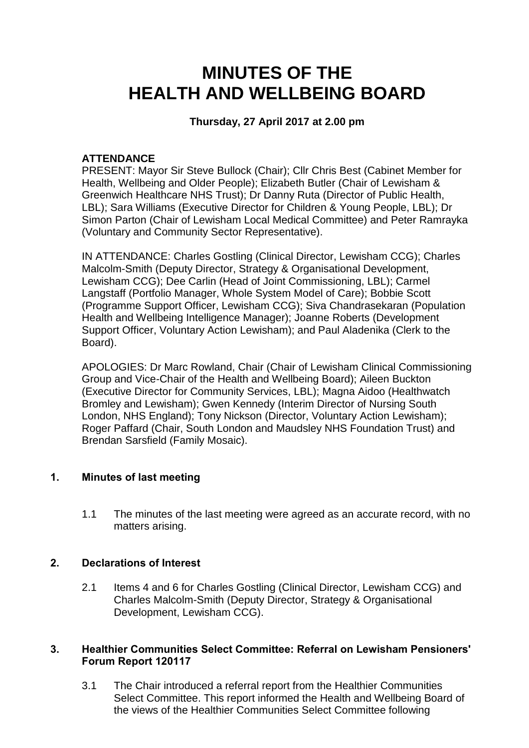# **MINUTES OF THE HEALTH AND WELLBEING BOARD**

## **Thursday, 27 April 2017 at 2.00 pm**

#### **ATTENDANCE**

PRESENT: Mayor Sir Steve Bullock (Chair); Cllr Chris Best (Cabinet Member for Health, Wellbeing and Older People); Elizabeth Butler (Chair of Lewisham & Greenwich Healthcare NHS Trust); Dr Danny Ruta (Director of Public Health, LBL); Sara Williams (Executive Director for Children & Young People, LBL); Dr Simon Parton (Chair of Lewisham Local Medical Committee) and Peter Ramrayka (Voluntary and Community Sector Representative).

IN ATTENDANCE: Charles Gostling (Clinical Director, Lewisham CCG); Charles Malcolm-Smith (Deputy Director, Strategy & Organisational Development, Lewisham CCG); Dee Carlin (Head of Joint Commissioning, LBL); Carmel Langstaff (Portfolio Manager, Whole System Model of Care); Bobbie Scott (Programme Support Officer, Lewisham CCG); Siva Chandrasekaran (Population Health and Wellbeing Intelligence Manager); Joanne Roberts (Development Support Officer, Voluntary Action Lewisham); and Paul Aladenika (Clerk to the Board).

APOLOGIES: Dr Marc Rowland, Chair (Chair of Lewisham Clinical Commissioning Group and Vice-Chair of the Health and Wellbeing Board); Aileen Buckton (Executive Director for Community Services, LBL); Magna Aidoo (Healthwatch Bromley and Lewisham); Gwen Kennedy (Interim Director of Nursing South London, NHS England); Tony Nickson (Director, Voluntary Action Lewisham); Roger Paffard (Chair, South London and Maudsley NHS Foundation Trust) and Brendan Sarsfield (Family Mosaic).

## **1. Minutes of last meeting**

1.1 The minutes of the last meeting were agreed as an accurate record, with no matters arising.

## **2. Declarations of Interest**

2.1 Items 4 and 6 for Charles Gostling (Clinical Director, Lewisham CCG) and Charles Malcolm-Smith (Deputy Director, Strategy & Organisational Development, Lewisham CCG).

#### **3. Healthier Communities Select Committee: Referral on Lewisham Pensioners' Forum Report 120117**

3.1 The Chair introduced a referral report from the Healthier Communities Select Committee. This report informed the Health and Wellbeing Board of the views of the Healthier Communities Select Committee following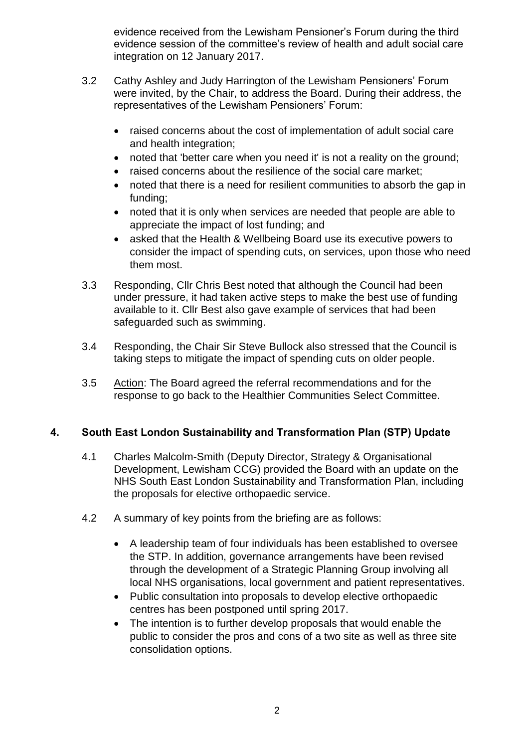evidence received from the Lewisham Pensioner's Forum during the third evidence session of the committee's review of health and adult social care integration on 12 January 2017.

- 3.2 Cathy Ashley and Judy Harrington of the Lewisham Pensioners' Forum were invited, by the Chair, to address the Board. During their address, the representatives of the Lewisham Pensioners' Forum:
	- raised concerns about the cost of implementation of adult social care and health integration;
	- noted that 'better care when you need it' is not a reality on the ground;
	- raised concerns about the resilience of the social care market;
	- noted that there is a need for resilient communities to absorb the gap in funding;
	- noted that it is only when services are needed that people are able to appreciate the impact of lost funding; and
	- asked that the Health & Wellbeing Board use its executive powers to consider the impact of spending cuts, on services, upon those who need them most.
- 3.3 Responding, Cllr Chris Best noted that although the Council had been under pressure, it had taken active steps to make the best use of funding available to it. Cllr Best also gave example of services that had been safeguarded such as swimming.
- 3.4 Responding, the Chair Sir Steve Bullock also stressed that the Council is taking steps to mitigate the impact of spending cuts on older people.
- 3.5 Action: The Board agreed the referral recommendations and for the response to go back to the Healthier Communities Select Committee.

## **4. South East London Sustainability and Transformation Plan (STP) Update**

- 4.1 Charles Malcolm-Smith (Deputy Director, Strategy & Organisational Development, Lewisham CCG) provided the Board with an update on the NHS South East London Sustainability and Transformation Plan, including the proposals for elective orthopaedic service.
- 4.2 A summary of key points from the briefing are as follows:
	- A leadership team of four individuals has been established to oversee the STP. In addition, governance arrangements have been revised through the development of a Strategic Planning Group involving all local NHS organisations, local government and patient representatives.
	- Public consultation into proposals to develop elective orthopaedic centres has been postponed until spring 2017.
	- The intention is to further develop proposals that would enable the public to consider the pros and cons of a two site as well as three site consolidation options.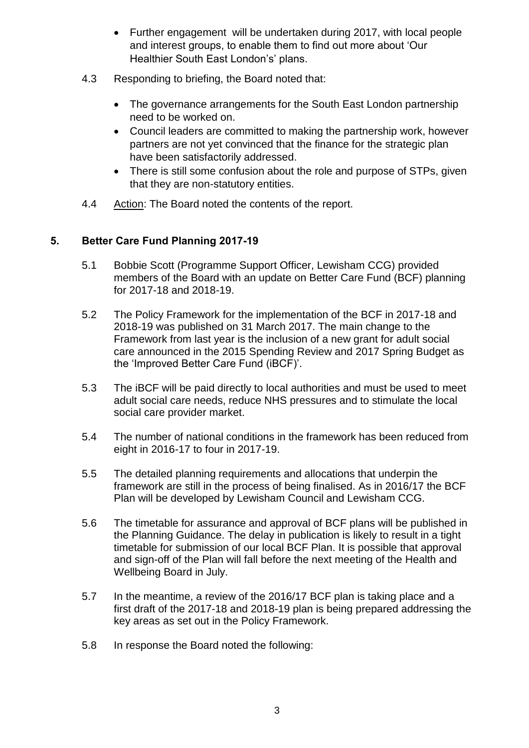- Further engagement will be undertaken during 2017, with local people and interest groups, to enable them to find out more about 'Our Healthier South East London's' plans.
- 4.3 Responding to briefing, the Board noted that:
	- The governance arrangements for the South East London partnership need to be worked on.
	- Council leaders are committed to making the partnership work, however partners are not yet convinced that the finance for the strategic plan have been satisfactorily addressed.
	- There is still some confusion about the role and purpose of STPs, given that they are non-statutory entities.
- 4.4 Action: The Board noted the contents of the report.

## **5. Better Care Fund Planning 2017-19**

- 5.1 Bobbie Scott (Programme Support Officer, Lewisham CCG) provided members of the Board with an update on Better Care Fund (BCF) planning for 2017-18 and 2018-19.
- 5.2 The Policy Framework for the implementation of the BCF in 2017-18 and 2018-19 was published on 31 March 2017. The main change to the Framework from last year is the inclusion of a new grant for adult social care announced in the 2015 Spending Review and 2017 Spring Budget as the 'Improved Better Care Fund (iBCF)'.
- 5.3 The iBCF will be paid directly to local authorities and must be used to meet adult social care needs, reduce NHS pressures and to stimulate the local social care provider market.
- 5.4 The number of national conditions in the framework has been reduced from eight in 2016-17 to four in 2017-19.
- 5.5 The detailed planning requirements and allocations that underpin the framework are still in the process of being finalised. As in 2016/17 the BCF Plan will be developed by Lewisham Council and Lewisham CCG.
- 5.6 The timetable for assurance and approval of BCF plans will be published in the Planning Guidance. The delay in publication is likely to result in a tight timetable for submission of our local BCF Plan. It is possible that approval and sign-off of the Plan will fall before the next meeting of the Health and Wellbeing Board in July.
- 5.7 In the meantime, a review of the 2016/17 BCF plan is taking place and a first draft of the 2017-18 and 2018-19 plan is being prepared addressing the key areas as set out in the Policy Framework.
- 5.8 In response the Board noted the following: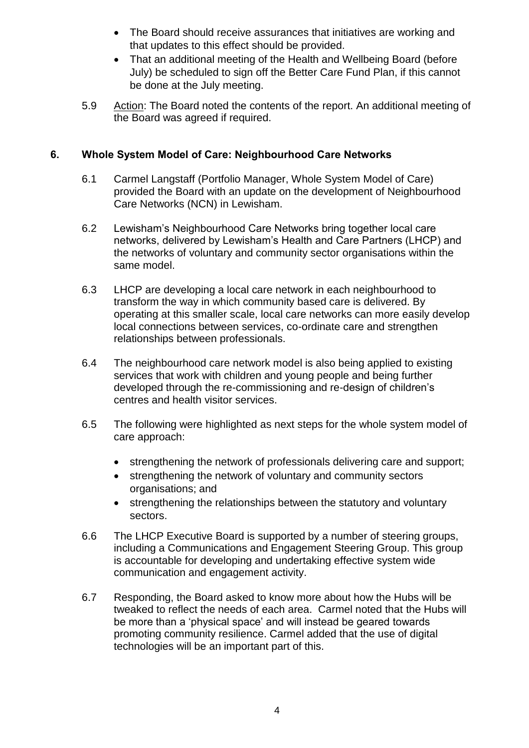- The Board should receive assurances that initiatives are working and that updates to this effect should be provided.
- That an additional meeting of the Health and Wellbeing Board (before July) be scheduled to sign off the Better Care Fund Plan, if this cannot be done at the July meeting.
- 5.9 Action: The Board noted the contents of the report. An additional meeting of the Board was agreed if required.

# **6. Whole System Model of Care: Neighbourhood Care Networks**

- 6.1 Carmel Langstaff (Portfolio Manager, Whole System Model of Care) provided the Board with an update on the development of Neighbourhood Care Networks (NCN) in Lewisham.
- 6.2 Lewisham's Neighbourhood Care Networks bring together local care networks, delivered by Lewisham's Health and Care Partners (LHCP) and the networks of voluntary and community sector organisations within the same model.
- 6.3 LHCP are developing a local care network in each neighbourhood to transform the way in which community based care is delivered. By operating at this smaller scale, local care networks can more easily develop local connections between services, co-ordinate care and strengthen relationships between professionals.
- 6.4 The neighbourhood care network model is also being applied to existing services that work with children and young people and being further developed through the re-commissioning and re-design of children's centres and health visitor services.
- 6.5 The following were highlighted as next steps for the whole system model of care approach:
	- strengthening the network of professionals delivering care and support;
	- strengthening the network of voluntary and community sectors organisations; and
	- strengthening the relationships between the statutory and voluntary sectors.
- 6.6 The LHCP Executive Board is supported by a number of steering groups, including a Communications and Engagement Steering Group. This group is accountable for developing and undertaking effective system wide communication and engagement activity.
- 6.7 Responding, the Board asked to know more about how the Hubs will be tweaked to reflect the needs of each area. Carmel noted that the Hubs will be more than a 'physical space' and will instead be geared towards promoting community resilience. Carmel added that the use of digital technologies will be an important part of this.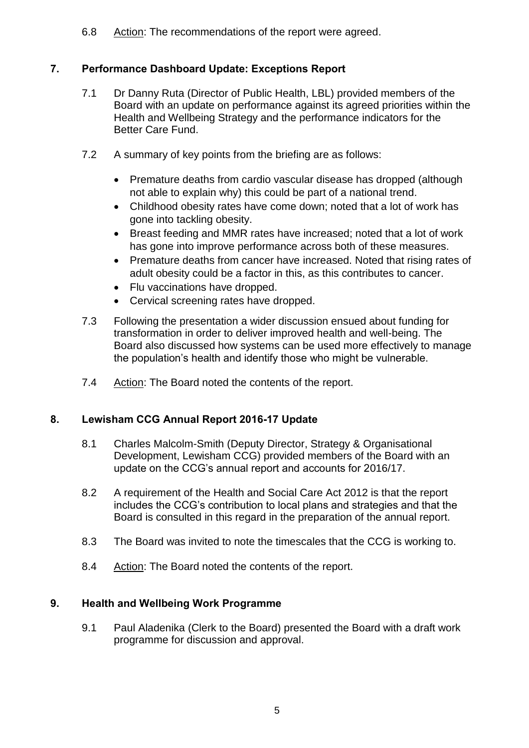6.8 Action: The recommendations of the report were agreed.

# **7. Performance Dashboard Update: Exceptions Report**

- 7.1 Dr Danny Ruta (Director of Public Health, LBL) provided members of the Board with an update on performance against its agreed priorities within the Health and Wellbeing Strategy and the performance indicators for the Better Care Fund.
- 7.2 A summary of key points from the briefing are as follows:
	- Premature deaths from cardio vascular disease has dropped (although not able to explain why) this could be part of a national trend.
	- Childhood obesity rates have come down; noted that a lot of work has gone into tackling obesity.
	- Breast feeding and MMR rates have increased; noted that a lot of work has gone into improve performance across both of these measures.
	- Premature deaths from cancer have increased. Noted that rising rates of adult obesity could be a factor in this, as this contributes to cancer.
	- Flu vaccinations have dropped.
	- Cervical screening rates have dropped.
- 7.3 Following the presentation a wider discussion ensued about funding for transformation in order to deliver improved health and well-being. The Board also discussed how systems can be used more effectively to manage the population's health and identify those who might be vulnerable.
- 7.4 Action: The Board noted the contents of the report.

## **8. Lewisham CCG Annual Report 2016-17 Update**

- 8.1 Charles Malcolm-Smith (Deputy Director, Strategy & Organisational Development, Lewisham CCG) provided members of the Board with an update on the CCG's annual report and accounts for 2016/17.
- 8.2 A requirement of the Health and Social Care Act 2012 is that the report includes the CCG's contribution to local plans and strategies and that the Board is consulted in this regard in the preparation of the annual report.
- 8.3 The Board was invited to note the timescales that the CCG is working to.
- 8.4 Action: The Board noted the contents of the report.

## **9. Health and Wellbeing Work Programme**

9.1 Paul Aladenika (Clerk to the Board) presented the Board with a draft work programme for discussion and approval.